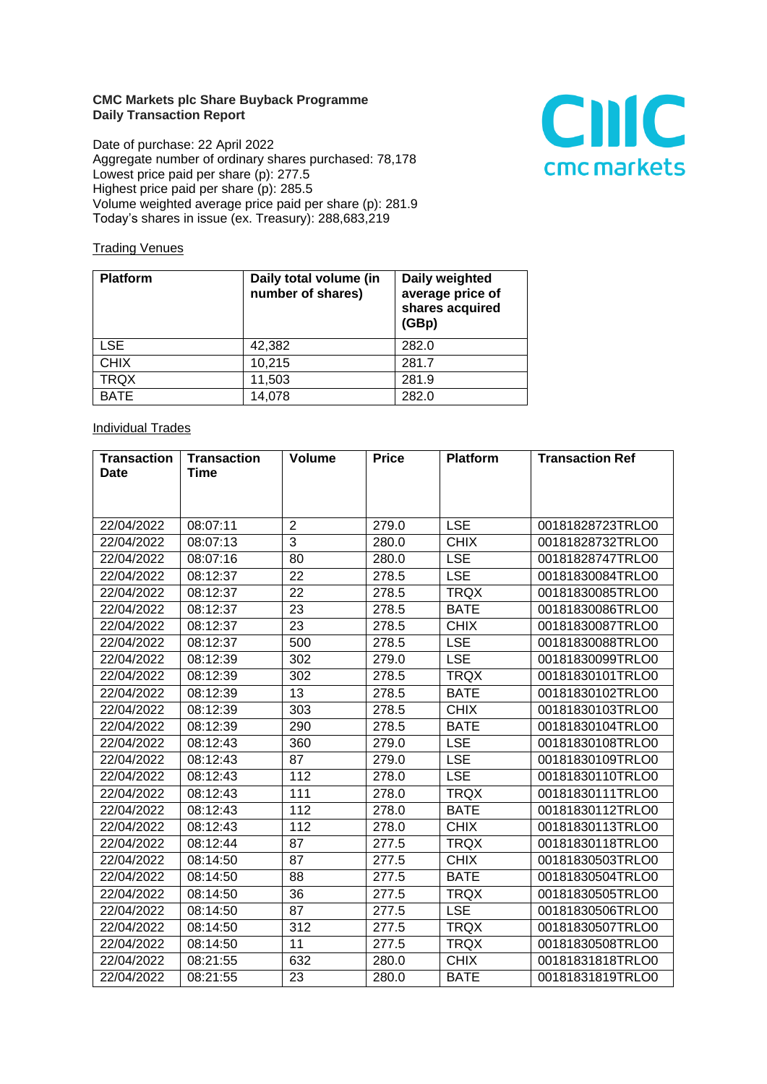## **CMC Markets plc Share Buyback Programme Daily Transaction Report**

Date of purchase: 22 April 2022 Aggregate number of ordinary shares purchased: 78,178 Lowest price paid per share (p): 277.5 Highest price paid per share (p): 285.5 Volume weighted average price paid per share (p): 281.9 Today's shares in issue (ex. Treasury): 288,683,219



## **Trading Venues**

| <b>Platform</b> | Daily total volume (in<br>number of shares) | Daily weighted<br>average price of<br>shares acquired<br>(GBp) |
|-----------------|---------------------------------------------|----------------------------------------------------------------|
| <b>LSE</b>      | 42,382                                      | 282.0                                                          |
| <b>CHIX</b>     | 10,215                                      | 281.7                                                          |
| <b>TRQX</b>     | 11,503                                      | 281.9                                                          |
| <b>BATE</b>     | 14,078                                      | 282.0                                                          |

## **Individual Trades**

| <b>Transaction</b> | <b>Transaction</b> | <b>Volume</b>  | <b>Price</b> | <b>Platform</b> | <b>Transaction Ref</b> |
|--------------------|--------------------|----------------|--------------|-----------------|------------------------|
| <b>Date</b>        | <b>Time</b>        |                |              |                 |                        |
|                    |                    |                |              |                 |                        |
|                    |                    |                |              |                 |                        |
| 22/04/2022         | 08:07:11           | $\overline{2}$ | 279.0        | <b>LSE</b>      | 00181828723TRLO0       |
| 22/04/2022         | 08:07:13           | 3              | 280.0        | <b>CHIX</b>     | 00181828732TRLO0       |
| 22/04/2022         | 08:07:16           | 80             | 280.0        | <b>LSE</b>      | 00181828747TRLO0       |
| 22/04/2022         | 08:12:37           | 22             | 278.5        | <b>LSE</b>      | 00181830084TRLO0       |
| 22/04/2022         | 08:12:37           | 22             | 278.5        | <b>TRQX</b>     | 00181830085TRLO0       |
| 22/04/2022         | 08:12:37           | 23             | 278.5        | <b>BATE</b>     | 00181830086TRLO0       |
| 22/04/2022         | 08:12:37           | 23             | 278.5        | <b>CHIX</b>     | 00181830087TRLO0       |
| 22/04/2022         | 08:12:37           | 500            | 278.5        | <b>LSE</b>      | 00181830088TRLO0       |
| 22/04/2022         | 08:12:39           | 302            | 279.0        | <b>LSE</b>      | 00181830099TRLO0       |
| 22/04/2022         | 08:12:39           | 302            | 278.5        | <b>TRQX</b>     | 00181830101TRLO0       |
| 22/04/2022         | 08:12:39           | 13             | 278.5        | <b>BATE</b>     | 00181830102TRLO0       |
| 22/04/2022         | 08:12:39           | 303            | 278.5        | <b>CHIX</b>     | 00181830103TRLO0       |
| 22/04/2022         | 08:12:39           | 290            | 278.5        | <b>BATE</b>     | 00181830104TRLO0       |
| 22/04/2022         | 08:12:43           | 360            | 279.0        | <b>LSE</b>      | 00181830108TRLO0       |
| 22/04/2022         | 08:12:43           | 87             | 279.0        | <b>LSE</b>      | 00181830109TRLO0       |
| 22/04/2022         | 08:12:43           | 112            | 278.0        | <b>LSE</b>      | 00181830110TRLO0       |
| 22/04/2022         | 08:12:43           | 111            | 278.0        | <b>TRQX</b>     | 00181830111TRLO0       |
| 22/04/2022         | 08:12:43           | 112            | 278.0        | <b>BATE</b>     | 00181830112TRLO0       |
| 22/04/2022         | 08:12:43           | 112            | 278.0        | <b>CHIX</b>     | 00181830113TRLO0       |
| 22/04/2022         | 08:12:44           | 87             | 277.5        | <b>TRQX</b>     | 00181830118TRLO0       |
| 22/04/2022         | 08:14:50           | 87             | 277.5        | <b>CHIX</b>     | 00181830503TRLO0       |
| 22/04/2022         | 08:14:50           | 88             | 277.5        | <b>BATE</b>     | 00181830504TRLO0       |
| 22/04/2022         | 08:14:50           | 36             | 277.5        | <b>TRQX</b>     | 00181830505TRLO0       |
| 22/04/2022         | 08:14:50           | 87             | 277.5        | <b>LSE</b>      | 00181830506TRLO0       |
| 22/04/2022         | 08:14:50           | 312            | 277.5        | <b>TRQX</b>     | 00181830507TRLO0       |
| 22/04/2022         | 08:14:50           | 11             | 277.5        | <b>TRQX</b>     | 00181830508TRLO0       |
| 22/04/2022         | 08:21:55           | 632            | 280.0        | <b>CHIX</b>     | 00181831818TRLO0       |
| 22/04/2022         | 08:21:55           | 23             | 280.0        | <b>BATE</b>     | 00181831819TRLO0       |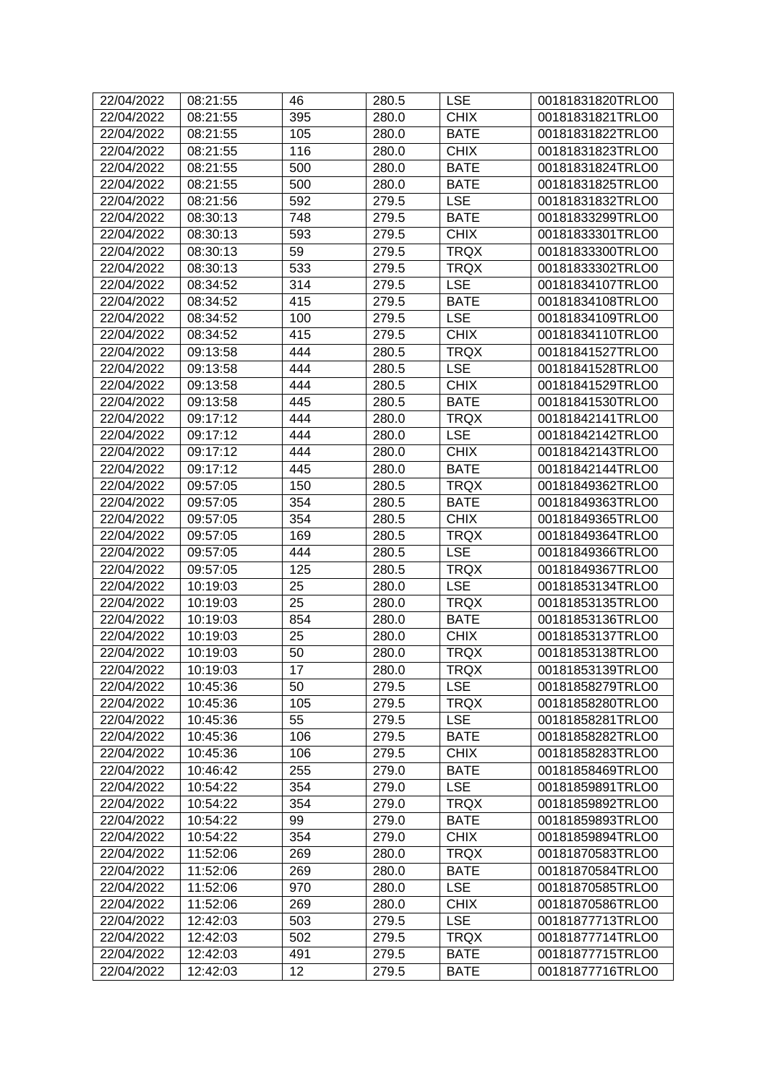| 22/04/2022 | 08:21:55 | 46  | 280.5 | <b>LSE</b>  | 00181831820TRLO0 |
|------------|----------|-----|-------|-------------|------------------|
| 22/04/2022 | 08:21:55 | 395 | 280.0 | <b>CHIX</b> | 00181831821TRLO0 |
| 22/04/2022 | 08:21:55 | 105 | 280.0 | <b>BATE</b> | 00181831822TRLO0 |
| 22/04/2022 | 08:21:55 | 116 | 280.0 | <b>CHIX</b> | 00181831823TRLO0 |
| 22/04/2022 | 08:21:55 | 500 | 280.0 | <b>BATE</b> | 00181831824TRLO0 |
| 22/04/2022 | 08:21:55 | 500 | 280.0 | <b>BATE</b> | 00181831825TRLO0 |
| 22/04/2022 | 08:21:56 | 592 | 279.5 | <b>LSE</b>  | 00181831832TRLO0 |
| 22/04/2022 | 08:30:13 | 748 | 279.5 | <b>BATE</b> | 00181833299TRLO0 |
| 22/04/2022 | 08:30:13 | 593 | 279.5 | <b>CHIX</b> | 00181833301TRLO0 |
| 22/04/2022 | 08:30:13 | 59  | 279.5 | <b>TRQX</b> | 00181833300TRLO0 |
| 22/04/2022 | 08:30:13 | 533 | 279.5 | <b>TRQX</b> | 00181833302TRLO0 |
| 22/04/2022 | 08:34:52 | 314 | 279.5 | <b>LSE</b>  | 00181834107TRLO0 |
| 22/04/2022 | 08:34:52 | 415 | 279.5 | <b>BATE</b> | 00181834108TRLO0 |
| 22/04/2022 | 08:34:52 | 100 | 279.5 | <b>LSE</b>  | 00181834109TRLO0 |
| 22/04/2022 | 08:34:52 | 415 | 279.5 | <b>CHIX</b> | 00181834110TRLO0 |
| 22/04/2022 | 09:13:58 | 444 | 280.5 | <b>TRQX</b> | 00181841527TRLO0 |
| 22/04/2022 | 09:13:58 | 444 | 280.5 | <b>LSE</b>  | 00181841528TRLO0 |
| 22/04/2022 | 09:13:58 | 444 | 280.5 | <b>CHIX</b> | 00181841529TRLO0 |
| 22/04/2022 | 09:13:58 | 445 | 280.5 | <b>BATE</b> | 00181841530TRLO0 |
| 22/04/2022 | 09:17:12 | 444 | 280.0 | <b>TRQX</b> | 00181842141TRLO0 |
| 22/04/2022 | 09:17:12 | 444 | 280.0 | <b>LSE</b>  | 00181842142TRLO0 |
| 22/04/2022 | 09:17:12 | 444 | 280.0 | <b>CHIX</b> | 00181842143TRLO0 |
| 22/04/2022 | 09:17:12 | 445 | 280.0 | <b>BATE</b> | 00181842144TRLO0 |
| 22/04/2022 | 09:57:05 | 150 | 280.5 | <b>TRQX</b> | 00181849362TRLO0 |
| 22/04/2022 | 09:57:05 | 354 | 280.5 | <b>BATE</b> | 00181849363TRLO0 |
| 22/04/2022 | 09:57:05 | 354 | 280.5 | <b>CHIX</b> | 00181849365TRLO0 |
| 22/04/2022 | 09:57:05 | 169 | 280.5 | <b>TRQX</b> | 00181849364TRLO0 |
| 22/04/2022 | 09:57:05 | 444 | 280.5 | <b>LSE</b>  | 00181849366TRLO0 |
| 22/04/2022 | 09:57:05 | 125 | 280.5 | <b>TRQX</b> | 00181849367TRLO0 |
| 22/04/2022 | 10:19:03 | 25  | 280.0 | <b>LSE</b>  | 00181853134TRLO0 |
| 22/04/2022 | 10:19:03 | 25  | 280.0 | <b>TRQX</b> | 00181853135TRLO0 |
| 22/04/2022 | 10:19:03 | 854 | 280.0 | <b>BATE</b> | 00181853136TRLO0 |
| 22/04/2022 | 10:19:03 | 25  | 280.0 | <b>CHIX</b> | 00181853137TRLO0 |
| 22/04/2022 | 10:19:03 | 50  | 280.0 | <b>TRQX</b> | 00181853138TRLO0 |
| 22/04/2022 | 10:19:03 | 17  | 280.0 | <b>TRQX</b> | 00181853139TRLO0 |
| 22/04/2022 | 10:45:36 | 50  | 279.5 | LSE         | 00181858279TRLO0 |
| 22/04/2022 | 10:45:36 | 105 | 279.5 | <b>TRQX</b> | 00181858280TRLO0 |
| 22/04/2022 | 10:45:36 | 55  | 279.5 | <b>LSE</b>  | 00181858281TRLO0 |
| 22/04/2022 | 10:45:36 | 106 | 279.5 | <b>BATE</b> | 00181858282TRLO0 |
| 22/04/2022 | 10:45:36 | 106 | 279.5 | <b>CHIX</b> | 00181858283TRLO0 |
| 22/04/2022 | 10:46:42 | 255 | 279.0 | <b>BATE</b> | 00181858469TRLO0 |
| 22/04/2022 | 10:54:22 | 354 | 279.0 | <b>LSE</b>  | 00181859891TRLO0 |
| 22/04/2022 | 10:54:22 | 354 | 279.0 | <b>TRQX</b> | 00181859892TRLO0 |
| 22/04/2022 | 10:54:22 | 99  | 279.0 | <b>BATE</b> | 00181859893TRLO0 |
| 22/04/2022 | 10:54:22 | 354 | 279.0 | <b>CHIX</b> | 00181859894TRLO0 |
| 22/04/2022 | 11:52:06 | 269 | 280.0 | <b>TRQX</b> | 00181870583TRLO0 |
| 22/04/2022 | 11:52:06 | 269 | 280.0 | <b>BATE</b> | 00181870584TRLO0 |
| 22/04/2022 | 11:52:06 | 970 | 280.0 | <b>LSE</b>  | 00181870585TRLO0 |
| 22/04/2022 | 11:52:06 | 269 | 280.0 | <b>CHIX</b> | 00181870586TRLO0 |
| 22/04/2022 | 12:42:03 | 503 | 279.5 | <b>LSE</b>  | 00181877713TRLO0 |
| 22/04/2022 | 12:42:03 | 502 | 279.5 | <b>TRQX</b> | 00181877714TRLO0 |
| 22/04/2022 | 12:42:03 | 491 | 279.5 | <b>BATE</b> | 00181877715TRLO0 |
| 22/04/2022 | 12:42:03 | 12  | 279.5 | <b>BATE</b> | 00181877716TRLO0 |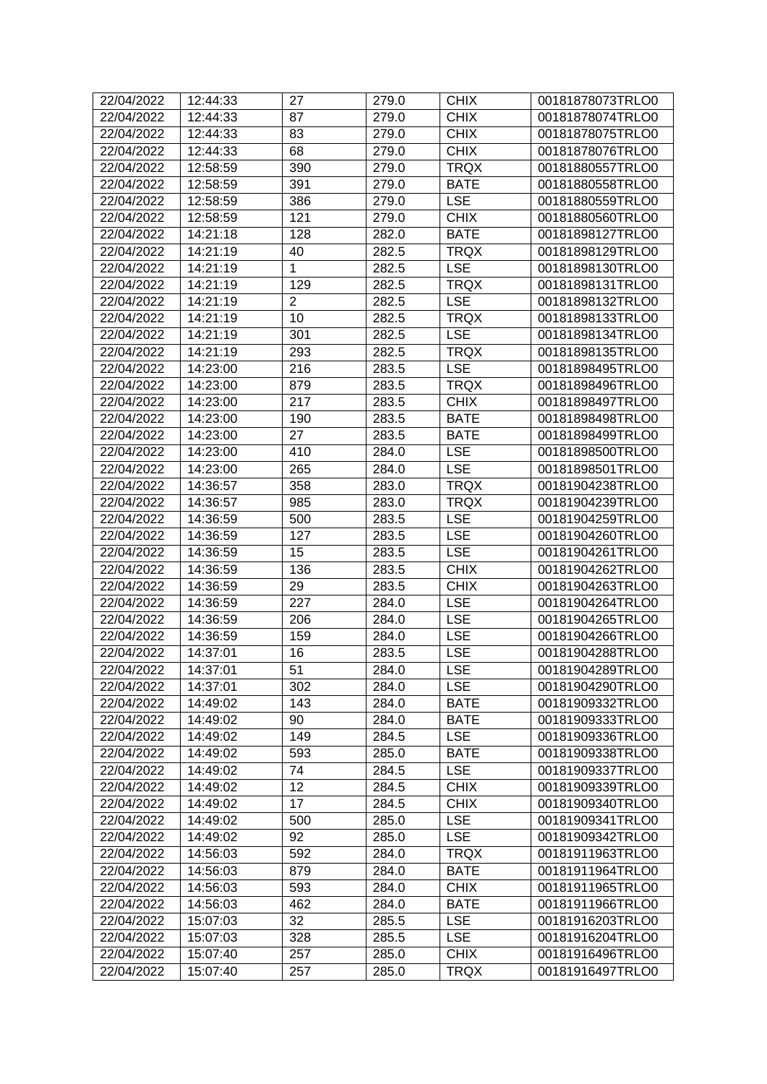| 22/04/2022 | 12:44:33 | 27             | 279.0 | <b>CHIX</b> | 00181878073TRLO0 |
|------------|----------|----------------|-------|-------------|------------------|
| 22/04/2022 | 12:44:33 | 87             | 279.0 | <b>CHIX</b> | 00181878074TRLO0 |
| 22/04/2022 | 12:44:33 | 83             | 279.0 | <b>CHIX</b> | 00181878075TRLO0 |
| 22/04/2022 | 12:44:33 | 68             | 279.0 | <b>CHIX</b> | 00181878076TRLO0 |
| 22/04/2022 | 12:58:59 | 390            | 279.0 | <b>TRQX</b> | 00181880557TRLO0 |
| 22/04/2022 | 12:58:59 | 391            | 279.0 | <b>BATE</b> | 00181880558TRLO0 |
| 22/04/2022 | 12:58:59 | 386            | 279.0 | <b>LSE</b>  | 00181880559TRLO0 |
| 22/04/2022 | 12:58:59 | 121            | 279.0 | <b>CHIX</b> | 00181880560TRLO0 |
| 22/04/2022 | 14:21:18 | 128            | 282.0 | <b>BATE</b> | 00181898127TRLO0 |
| 22/04/2022 | 14:21:19 | 40             | 282.5 | <b>TRQX</b> | 00181898129TRLO0 |
| 22/04/2022 | 14:21:19 | 1              | 282.5 | <b>LSE</b>  | 00181898130TRLO0 |
| 22/04/2022 | 14:21:19 | 129            | 282.5 | <b>TRQX</b> | 00181898131TRLO0 |
| 22/04/2022 | 14:21:19 | $\overline{2}$ | 282.5 | <b>LSE</b>  | 00181898132TRLO0 |
| 22/04/2022 | 14:21:19 | 10             | 282.5 | <b>TRQX</b> | 00181898133TRLO0 |
| 22/04/2022 | 14:21:19 | 301            | 282.5 | <b>LSE</b>  | 00181898134TRLO0 |
| 22/04/2022 | 14:21:19 | 293            | 282.5 | <b>TRQX</b> | 00181898135TRLO0 |
| 22/04/2022 | 14:23:00 | 216            | 283.5 | <b>LSE</b>  | 00181898495TRLO0 |
| 22/04/2022 | 14:23:00 | 879            | 283.5 | <b>TRQX</b> | 00181898496TRLO0 |
| 22/04/2022 | 14:23:00 | 217            | 283.5 | <b>CHIX</b> | 00181898497TRLO0 |
| 22/04/2022 | 14:23:00 | 190            | 283.5 | <b>BATE</b> | 00181898498TRLO0 |
| 22/04/2022 | 14:23:00 | 27             | 283.5 | <b>BATE</b> | 00181898499TRLO0 |
| 22/04/2022 | 14:23:00 | 410            | 284.0 | <b>LSE</b>  | 00181898500TRLO0 |
| 22/04/2022 | 14:23:00 | 265            | 284.0 | <b>LSE</b>  | 00181898501TRLO0 |
| 22/04/2022 | 14:36:57 | 358            | 283.0 | <b>TRQX</b> | 00181904238TRLO0 |
| 22/04/2022 | 14:36:57 | 985            | 283.0 | <b>TRQX</b> | 00181904239TRLO0 |
| 22/04/2022 | 14:36:59 | 500            | 283.5 | <b>LSE</b>  | 00181904259TRLO0 |
| 22/04/2022 | 14:36:59 | 127            | 283.5 | <b>LSE</b>  | 00181904260TRLO0 |
| 22/04/2022 | 14:36:59 | 15             | 283.5 | <b>LSE</b>  | 00181904261TRLO0 |
| 22/04/2022 | 14:36:59 | 136            | 283.5 | <b>CHIX</b> | 00181904262TRLO0 |
| 22/04/2022 | 14:36:59 | 29             | 283.5 | <b>CHIX</b> | 00181904263TRLO0 |
| 22/04/2022 | 14:36:59 | 227            | 284.0 | <b>LSE</b>  | 00181904264TRLO0 |
| 22/04/2022 | 14:36:59 | 206            | 284.0 | <b>LSE</b>  | 00181904265TRLO0 |
| 22/04/2022 | 14:36:59 | 159            | 284.0 | <b>LSE</b>  | 00181904266TRLO0 |
| 22/04/2022 | 14:37:01 | 16             | 283.5 | <b>LSE</b>  | 00181904288TRLO0 |
| 22/04/2022 | 14:37:01 | 51             | 284.0 | <b>LSE</b>  | 00181904289TRLO0 |
| 22/04/2022 | 14:37:01 | 302            | 284.0 | <b>LSE</b>  | 00181904290TRLO0 |
| 22/04/2022 | 14:49:02 | 143            | 284.0 | <b>BATE</b> | 00181909332TRLO0 |
| 22/04/2022 | 14:49:02 | 90             | 284.0 | <b>BATE</b> | 00181909333TRLO0 |
| 22/04/2022 | 14:49:02 | 149            | 284.5 | <b>LSE</b>  | 00181909336TRLO0 |
| 22/04/2022 | 14:49:02 | 593            | 285.0 | <b>BATE</b> | 00181909338TRLO0 |
| 22/04/2022 | 14:49:02 | 74             | 284.5 | <b>LSE</b>  | 00181909337TRLO0 |
| 22/04/2022 | 14:49:02 | 12             | 284.5 | <b>CHIX</b> | 00181909339TRLO0 |
| 22/04/2022 | 14:49:02 | 17             | 284.5 | <b>CHIX</b> | 00181909340TRLO0 |
| 22/04/2022 | 14:49:02 | 500            | 285.0 | <b>LSE</b>  | 00181909341TRLO0 |
| 22/04/2022 | 14:49:02 | 92             | 285.0 | <b>LSE</b>  | 00181909342TRLO0 |
| 22/04/2022 | 14:56:03 | 592            | 284.0 | <b>TRQX</b> | 00181911963TRLO0 |
| 22/04/2022 | 14:56:03 | 879            | 284.0 | <b>BATE</b> | 00181911964TRLO0 |
| 22/04/2022 | 14:56:03 | 593            | 284.0 | <b>CHIX</b> | 00181911965TRLO0 |
| 22/04/2022 | 14:56:03 | 462            | 284.0 | <b>BATE</b> | 00181911966TRLO0 |
| 22/04/2022 | 15:07:03 | 32             | 285.5 | <b>LSE</b>  | 00181916203TRLO0 |
| 22/04/2022 | 15:07:03 | 328            | 285.5 | <b>LSE</b>  | 00181916204TRLO0 |
| 22/04/2022 | 15:07:40 | 257            | 285.0 | <b>CHIX</b> | 00181916496TRLO0 |
| 22/04/2022 | 15:07:40 | 257            | 285.0 | <b>TRQX</b> | 00181916497TRLO0 |
|            |          |                |       |             |                  |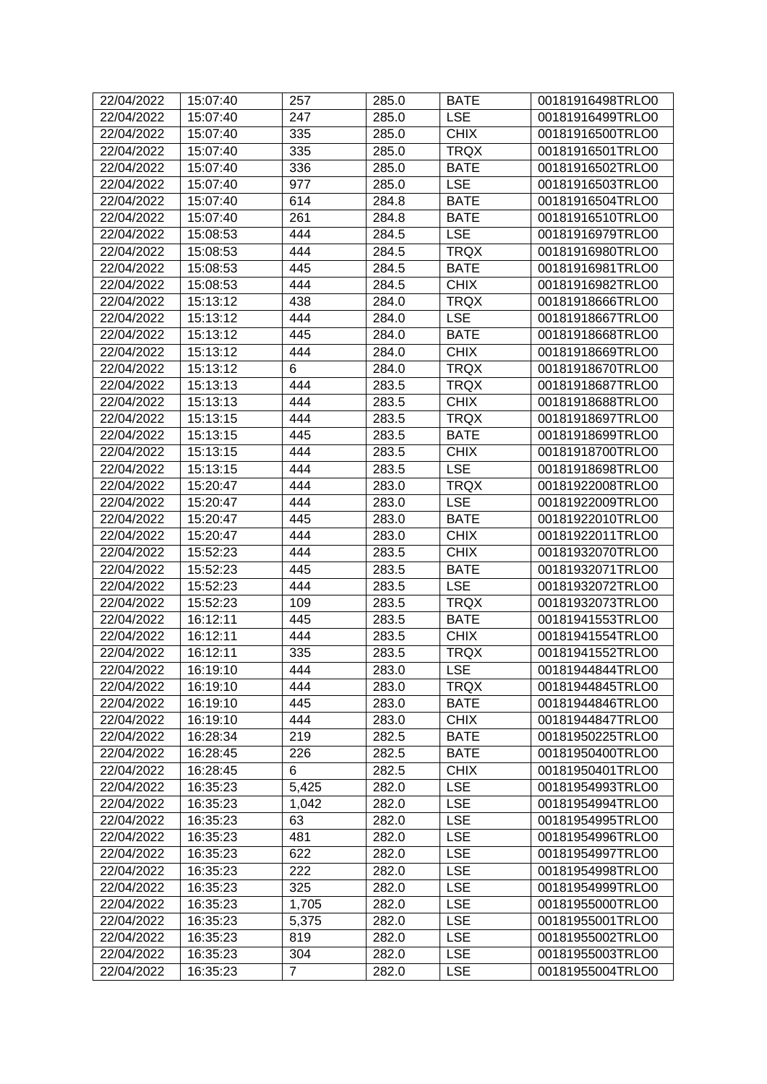| 22/04/2022 | 15:07:40 | 257            | 285.0 | <b>BATE</b> | 00181916498TRLO0 |
|------------|----------|----------------|-------|-------------|------------------|
| 22/04/2022 | 15:07:40 | 247            | 285.0 | <b>LSE</b>  | 00181916499TRLO0 |
| 22/04/2022 | 15:07:40 | 335            | 285.0 | <b>CHIX</b> | 00181916500TRLO0 |
| 22/04/2022 | 15:07:40 | 335            | 285.0 | <b>TRQX</b> | 00181916501TRLO0 |
| 22/04/2022 | 15:07:40 | 336            | 285.0 | <b>BATE</b> | 00181916502TRLO0 |
| 22/04/2022 | 15:07:40 | 977            | 285.0 | <b>LSE</b>  | 00181916503TRLO0 |
| 22/04/2022 | 15:07:40 | 614            | 284.8 | <b>BATE</b> | 00181916504TRLO0 |
| 22/04/2022 | 15:07:40 | 261            | 284.8 | <b>BATE</b> | 00181916510TRLO0 |
| 22/04/2022 | 15:08:53 | 444            | 284.5 | <b>LSE</b>  | 00181916979TRLO0 |
| 22/04/2022 | 15:08:53 | 444            | 284.5 | <b>TRQX</b> | 00181916980TRLO0 |
| 22/04/2022 | 15:08:53 | 445            | 284.5 | <b>BATE</b> | 00181916981TRLO0 |
| 22/04/2022 | 15:08:53 | 444            | 284.5 | <b>CHIX</b> | 00181916982TRLO0 |
| 22/04/2022 | 15:13:12 | 438            | 284.0 | <b>TRQX</b> | 00181918666TRLO0 |
| 22/04/2022 | 15:13:12 | 444            | 284.0 | <b>LSE</b>  | 00181918667TRLO0 |
| 22/04/2022 | 15:13:12 | 445            | 284.0 | <b>BATE</b> | 00181918668TRLO0 |
| 22/04/2022 | 15:13:12 | 444            | 284.0 | <b>CHIX</b> | 00181918669TRLO0 |
| 22/04/2022 | 15:13:12 | 6              | 284.0 | <b>TRQX</b> | 00181918670TRLO0 |
| 22/04/2022 | 15:13:13 | 444            | 283.5 | <b>TRQX</b> | 00181918687TRLO0 |
| 22/04/2022 | 15:13:13 | 444            | 283.5 | <b>CHIX</b> | 00181918688TRLO0 |
| 22/04/2022 | 15:13:15 | 444            | 283.5 | <b>TRQX</b> | 00181918697TRLO0 |
| 22/04/2022 | 15:13:15 | 445            | 283.5 | <b>BATE</b> | 00181918699TRLO0 |
| 22/04/2022 | 15:13:15 | 444            | 283.5 | <b>CHIX</b> | 00181918700TRLO0 |
| 22/04/2022 | 15:13:15 | 444            | 283.5 | <b>LSE</b>  | 00181918698TRLO0 |
| 22/04/2022 | 15:20:47 | 444            | 283.0 | <b>TRQX</b> | 00181922008TRLO0 |
| 22/04/2022 | 15:20:47 | 444            | 283.0 | <b>LSE</b>  | 00181922009TRLO0 |
| 22/04/2022 | 15:20:47 | 445            | 283.0 | <b>BATE</b> | 00181922010TRLO0 |
| 22/04/2022 | 15:20:47 | 444            | 283.0 | <b>CHIX</b> | 00181922011TRLO0 |
| 22/04/2022 | 15:52:23 | 444            | 283.5 | <b>CHIX</b> | 00181932070TRLO0 |
| 22/04/2022 | 15:52:23 | 445            | 283.5 | <b>BATE</b> | 00181932071TRLO0 |
| 22/04/2022 | 15:52:23 | 444            | 283.5 | <b>LSE</b>  | 00181932072TRLO0 |
| 22/04/2022 | 15:52:23 | 109            | 283.5 | <b>TRQX</b> | 00181932073TRLO0 |
| 22/04/2022 | 16:12:11 | 445            | 283.5 | <b>BATE</b> | 00181941553TRLO0 |
| 22/04/2022 | 16:12:11 | 444            | 283.5 | <b>CHIX</b> | 00181941554TRLO0 |
| 22/04/2022 | 16:12:11 | 335            | 283.5 | <b>TRQX</b> | 00181941552TRLO0 |
| 22/04/2022 | 16:19:10 | 444            | 283.0 | <b>LSE</b>  | 00181944844TRLO0 |
| 22/04/2022 | 16:19:10 | 444            | 283.0 | TRQX        | 00181944845TRLO0 |
| 22/04/2022 | 16:19:10 | 445            | 283.0 | <b>BATE</b> | 00181944846TRLO0 |
| 22/04/2022 | 16:19:10 | 444            | 283.0 | <b>CHIX</b> | 00181944847TRLO0 |
| 22/04/2022 | 16:28:34 | 219            | 282.5 | <b>BATE</b> | 00181950225TRLO0 |
| 22/04/2022 | 16:28:45 | 226            | 282.5 | <b>BATE</b> | 00181950400TRLO0 |
| 22/04/2022 | 16:28:45 | 6              | 282.5 | <b>CHIX</b> | 00181950401TRLO0 |
| 22/04/2022 | 16:35:23 | 5,425          | 282.0 | <b>LSE</b>  | 00181954993TRLO0 |
| 22/04/2022 | 16:35:23 | 1,042          | 282.0 | <b>LSE</b>  | 00181954994TRLO0 |
| 22/04/2022 | 16:35:23 | 63             | 282.0 | <b>LSE</b>  | 00181954995TRLO0 |
| 22/04/2022 | 16:35:23 | 481            | 282.0 | <b>LSE</b>  | 00181954996TRLO0 |
| 22/04/2022 | 16:35:23 | 622            | 282.0 | <b>LSE</b>  | 00181954997TRLO0 |
| 22/04/2022 | 16:35:23 | 222            | 282.0 | <b>LSE</b>  | 00181954998TRLO0 |
| 22/04/2022 | 16:35:23 | 325            | 282.0 | <b>LSE</b>  | 00181954999TRLO0 |
| 22/04/2022 | 16:35:23 | 1,705          | 282.0 | <b>LSE</b>  | 00181955000TRLO0 |
| 22/04/2022 | 16:35:23 | 5,375          | 282.0 | <b>LSE</b>  | 00181955001TRLO0 |
| 22/04/2022 | 16:35:23 | 819            | 282.0 | <b>LSE</b>  | 00181955002TRLO0 |
| 22/04/2022 | 16:35:23 | 304            | 282.0 | <b>LSE</b>  | 00181955003TRLO0 |
| 22/04/2022 | 16:35:23 | $\overline{7}$ | 282.0 | <b>LSE</b>  | 00181955004TRLO0 |
|            |          |                |       |             |                  |